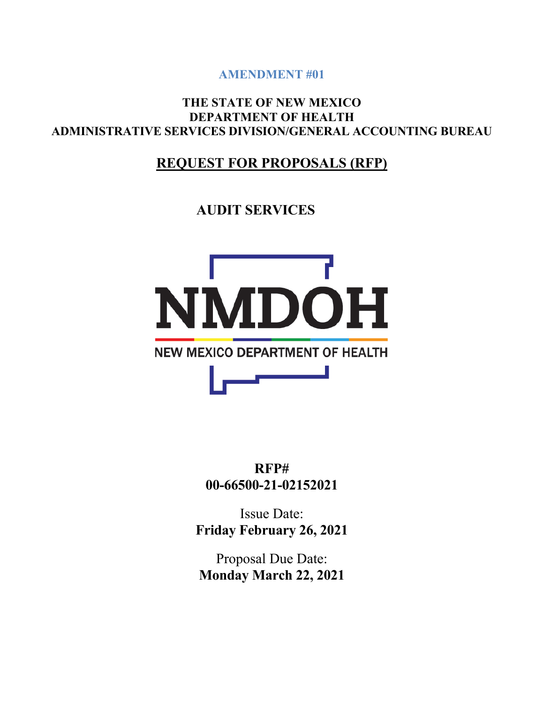**AMENDMENT #01**

**THE STATE OF NEW MEXICO DEPARTMENT OF HEALTH ADMINISTRATIVE SERVICES DIVISION/GENERAL ACCOUNTING BUREAU**

# **REQUEST FOR PROPOSALS (RFP)**

**AUDIT SERVICES**



**RFP# 00-66500-21-02152021**

Issue Date: **Friday February 26, 2021**

Proposal Due Date: **Monday March 22, 2021**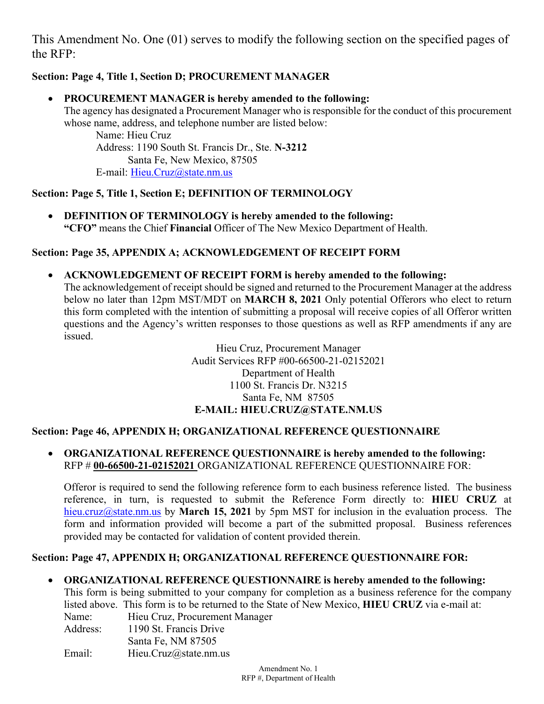This Amendment No. One (01) serves to modify the following section on the specified pages of the RFP:

# **Section: Page 4, Title 1, Section D; PROCUREMENT MANAGER**

### • **PROCUREMENT MANAGER is hereby amended to the following:**

The agency has designated a Procurement Manager who is responsible for the conduct of this procurement whose name, address, and telephone number are listed below:

Name: Hieu Cruz Address: 1190 South St. Francis Dr., Ste. **N-3212** Santa Fe, New Mexico, 87505 E-mail: [Hieu.Cruz@state.nm.us](mailto:Hieu.Cruz@state.nm.us)

# **Section: Page 5, Title 1, Section E; DEFINITION OF TERMINOLOGY**

• **DEFINITION OF TERMINOLOGY is hereby amended to the following: "CFO"** means the Chief **Financial** Officer of The New Mexico Department of Health.

# **Section: Page 35, APPENDIX A; ACKNOWLEDGEMENT OF RECEIPT FORM**

• **ACKNOWLEDGEMENT OF RECEIPT FORM is hereby amended to the following:** The acknowledgement of receipt should be signed and returned to the Procurement Manager at the address below no later than 12pm MST/MDT on **MARCH 8, 2021** Only potential Offerors who elect to return this form completed with the intention of submitting a proposal will receive copies of all Offeror written questions and the Agency's written responses to those questions as well as RFP amendments if any are

> Hieu Cruz, Procurement Manager Audit Services RFP #00-66500-21-02152021 Department of Health 1100 St. Francis Dr. N3215 Santa Fe, NM 87505 **E-MAIL: HIEU.CRUZ@STATE.NM.US**

#### **Section: Page 46, APPENDIX H; ORGANIZATIONAL REFERENCE QUESTIONNAIRE**

• **ORGANIZATIONAL REFERENCE QUESTIONNAIRE is hereby amended to the following:** RFP # **00-66500-21-02152021** ORGANIZATIONAL REFERENCE QUESTIONNAIRE FOR:

Offeror is required to send the following reference form to each business reference listed. The business reference, in turn, is requested to submit the Reference Form directly to: **HIEU CRUZ** at [hieu.cruz@state.nm.us](mailto:Raymond.Duran@state.nm.us) by **March 15, 2021** by 5pm MST for inclusion in the evaluation process. The form and information provided will become a part of the submitted proposal. Business references provided may be contacted for validation of content provided therein.

#### **Section: Page 47, APPENDIX H; ORGANIZATIONAL REFERENCE QUESTIONNAIRE FOR:**

#### • **ORGANIZATIONAL REFERENCE QUESTIONNAIRE is hereby amended to the following:**

This form is being submitted to your company for completion as a business reference for the company listed above. This form is to be returned to the State of New Mexico, **HIEU CRUZ** via e-mail at: Name: Hieu Cruz, Procurement Manager Address: 1190 St. Francis Drive

Santa Fe, NM 87505

issued.

Email: Hieu.Cruz@state.nm.us

Amendment No. 1 RFP #, Department of Health